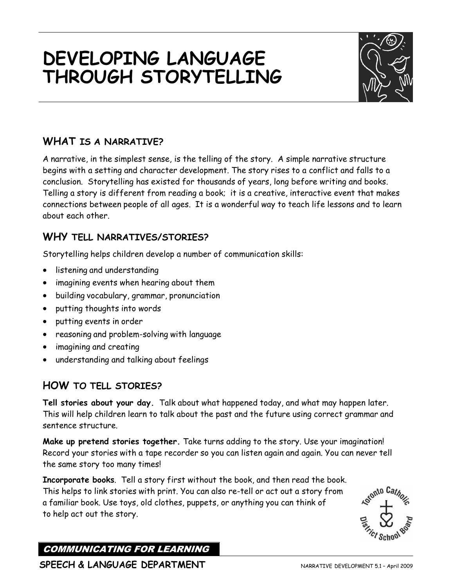# **DEVELOPING LANGUAGE THROUGH STORYTELLING**



## **WHAT IS A NARRATIVE?**

A narrative, in the simplest sense, is the telling of the story. A simple narrative structure begins with a setting and character development. The story rises to a conflict and falls to a conclusion. Storytelling has existed for thousands of years, long before writing and books. Telling a story is different from reading a book; it is a creative, interactive event that makes connections between people of all ages. It is a wonderful way to teach life lessons and to learn about each other.

#### **WHY TELL NARRATIVES/STORIES?**

Storytelling helps children develop a number of communication skills:

- listening and understanding
- imagining events when hearing about them
- building vocabulary, grammar, pronunciation
- putting thoughts into words
- putting events in order
- reasoning and problem-solving with language
- imagining and creating
- understanding and talking about feelings

#### **HOW TO TELL STORIES?**

**Tell stories about your day.** Talk about what happened today, and what may happen later. This will help children learn to talk about the past and the future using correct grammar and sentence structure.

**Make up pretend stories together.** Take turns adding to the story. Use your imagination! Record your stories with a tape recorder so you can listen again and again. You can never tell the same story too many times!

**Incorporate books**. Tell a story first without the book, and then read the book. This helps to link stories with print. You can also re-tell or act out a story from a familiar book. Use toys, old clothes, puppets, or anything you can think of to help act out the story.



COMMUNICATING FOR LEARNING

**SPEECH & LANGUAGE DEPARTMENT** NARRATIVE DEVELOPMENT 5.1 – April 2009